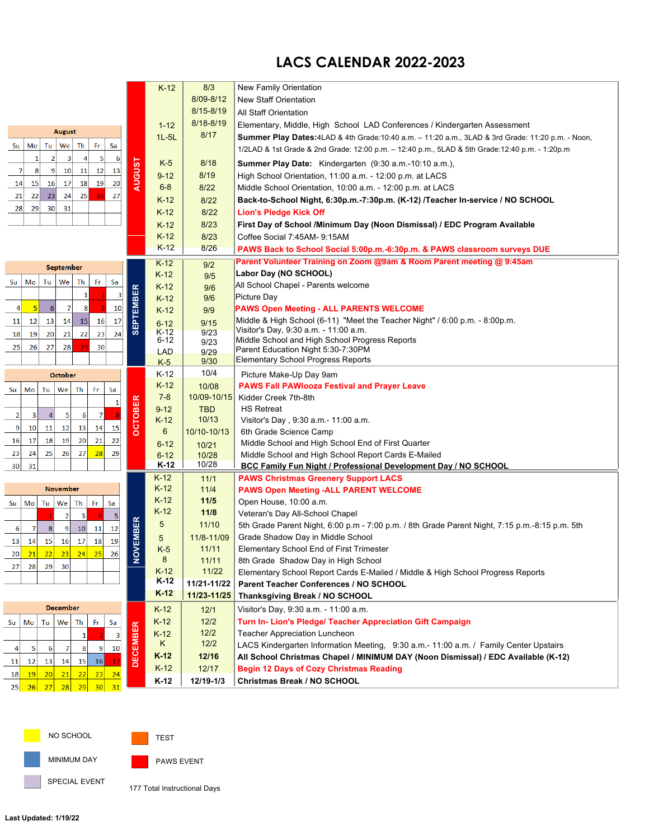## **LACS CALENDAR 2022-2023**

|                                                                                                  |                  | $K-12$              | 8/3             | New Family Orientation                                                                                   |
|--------------------------------------------------------------------------------------------------|------------------|---------------------|-----------------|----------------------------------------------------------------------------------------------------------|
|                                                                                                  |                  |                     | 8/09-8/12       | <b>New Staff Orientation</b>                                                                             |
|                                                                                                  |                  |                     | 8/15-8/19       | All Staff Orientation                                                                                    |
|                                                                                                  |                  | $1 - 12$            | $8/18 - 8/19$   | Elementary, Middle, High School LAD Conferences / Kindergarten Assessment                                |
| <b>August</b>                                                                                    |                  | $1L - 5L$           | 8/17            | <b>Summer Play Dates:</b> 4LAD & 4th Grade:10:40 a.m. – 11:20 a.m., 3LAD & 3rd Grade: 11:20 p.m. - Noon, |
| Tu<br>We<br>Th<br>Fr<br>Sa<br>Su<br>Mo                                                           |                  |                     |                 | 1/2LAD & 1st Grade & 2nd Grade: 12:00 p.m. - 12:40 p.m., 5LAD & 5th Grade: 12:40 p.m. - 1:20p.m          |
| 5<br>2<br>-3<br>$\overline{A}$<br>6<br>1                                                         |                  | $K-5$               | 8/18            | Summer Play Date: Kindergarten (9:30 a.m.-10:10 a.m.),                                                   |
| 12<br>10<br>11<br>13<br>7<br>9 <sub>l</sub><br>8                                                 | <b>AUGUST</b>    | $9 - 12$            | 8/19            | High School Orientation, 11:00 a.m. - 12:00 p.m. at LACS                                                 |
| 17<br>18<br>19<br>20<br>14<br>16<br>15 <sub>l</sub>                                              |                  | $6 - 8$             | 8/22            | Middle School Orientation, 10:00 a.m. - 12:00 p.m. at LACS                                               |
| 24<br>25<br>21<br>22<br>23<br>27                                                                 |                  | $K-12$              | 8/22            | Back-to-School Night, 6:30p.m.-7:30p.m. (K-12) /Teacher In-service / NO SCHOOL                           |
| 30 <sup>1</sup><br>31<br>28<br>29                                                                |                  | $K-12$              | 8/22            | <b>Lion's Pledge Kick Off</b>                                                                            |
|                                                                                                  |                  | $K-12$              | 8/23            | First Day of School /Minimum Day (Noon Dismissal) / EDC Program Available                                |
|                                                                                                  |                  | $K-12$              | 8/23            | Coffee Social 7:45AM- 9:15AM                                                                             |
|                                                                                                  |                  | $K-12$              | 8/26            | PAWS Back to School Social 5:00p.m.-6:30p.m. & PAWS classroom surveys DUE                                |
|                                                                                                  |                  | $K-12$              |                 | Parent Volunteer Training on Zoom @9am & Room Parent meeting @ 9:45am                                    |
| September                                                                                        |                  | $K-12$              | 9/2             | Labor Day (NO SCHOOL)                                                                                    |
| Tu<br>We<br>Th<br>Fr<br>Mo<br>Sa<br>Su                                                           |                  | $K-12$              | 9/5<br>9/6      | All School Chapel - Parents welcome                                                                      |
| 1<br>3                                                                                           |                  | $K-12$              | 9/6             | Picture Day                                                                                              |
| $6 \overline{6}$<br>7<br>10<br>8<br>4<br>5                                                       | <b>SEPTEMBER</b> | $K-12$              | 9/9             | <b>PAWS Open Meeting - ALL PARENTS WELCOME</b>                                                           |
| 17<br>15<br>12<br> 13 <br>14<br>16<br> 11                                                        |                  | $6 - 12$            | 9/15            | Middle & High School (6-11) "Meet the Teacher Night" / 6:00 p.m. - 8:00p.m.                              |
| 21<br>22<br>24<br>18<br>19<br>20<br>23                                                           |                  | $K-12$              | 9/23            | Visitor's Day, 9:30 a.m. - 11:00 a.m.                                                                    |
| 28<br>25<br>26<br>27<br>30                                                                       |                  | $6 - 12$            | 9/23            | Middle School and High School Progress Reports                                                           |
|                                                                                                  |                  | <b>LAD</b>          | 9/29<br>9/30    | Parent Education Night 5:30-7:30PM<br>Elementary School Progress Reports                                 |
| <b>October</b>                                                                                   |                  | $K-5$<br>$K-12$     | 10/4            |                                                                                                          |
|                                                                                                  |                  | $K-12$              | 10/08           | Picture Make-Up Day 9am<br><b>PAWS Fall PAWIooza Festival and Prayer Leave</b>                           |
| Tu<br>Sa<br>Mo<br>We <sub>1</sub><br>Th<br>Fr<br>Su                                              |                  | $7 - 8$             | 10/09-10/15     | Kidder Creek 7th-8th                                                                                     |
| $\mathbf{1}$                                                                                     |                  | $9 - 12$            | <b>TBD</b>      | <b>HS Retreat</b>                                                                                        |
| $\overline{7}$<br>$\sqrt{5}$<br>$\overline{2}$<br>$\overline{\mathbf{3}}$<br>$\overline{4}$<br>6 | <b>OCTOBER</b>   | K-12                | 10/13           | Visitor's Day, 9:30 a.m.- 11:00 a.m.                                                                     |
| 12<br>13<br>14<br>15<br>9<br>10<br>11                                                            |                  | 6                   | 10/10-10/13     | 6th Grade Science Camp                                                                                   |
| 20<br>18<br>19<br>21<br>22<br>17<br>16                                                           |                  | $6 - 12$            | 10/21           | Middle School and High School End of First Quarter                                                       |
| 27<br>25<br>26<br>28<br>29<br>23<br>24                                                           |                  | $6 - 12$            | 10/28           | Middle School and High School Report Cards E-Mailed                                                      |
| 30<br>31                                                                                         |                  | K-12                | 10/28           | BCC Family Fun Night / Professional Development Day / NO SCHOOL                                          |
|                                                                                                  |                  | $K-12$              | 11/1            | <b>PAWS Christmas Greenery Support LACS</b>                                                              |
| November                                                                                         |                  | $K-12$              | 11/4            | <b>PAWS Open Meeting -ALL PARENT WELCOME</b>                                                             |
| Tu<br>We<br>Th<br>Fr.<br>Mo<br>Sa<br>Su                                                          |                  | $K-12$<br>$K-12$    | 11/5            | Open House, 10:00 a.m.                                                                                   |
| $\overline{2}$<br>$\overline{\mathbf{3}}$<br>5                                                   |                  | 5                   | $11/8$<br>11/10 | Veteran's Day All-School Chapel                                                                          |
| $\overline{7}$<br> 8 <br> 9 <br>10<br>11<br>12<br>6                                              | OVEMBER          |                     | 11/8-11/09      | 5th Grade Parent Night, 6:00 p.m - 7:00 p.m. / 8th Grade Parent Night, 7:15 p.m. -8:15 p.m. 5th          |
| 17<br>15 <sup>1</sup><br>16<br>18<br>19<br> 13 <br>14                                            |                  | $\sqrt{5}$<br>$K-5$ | 11/11           | Grade Shadow Day in Middle School<br><b>Elementary School End of First Trimester</b>                     |
| 22<br> 23 <br>24<br>25<br>21<br>26<br>20 <sup>1</sup>                                            | z                | 8                   | 11/11           | 8th Grade Shadow Day in High School                                                                      |
| 29<br>27<br>28<br>30                                                                             |                  | $K-12$              | 11/22           | Elementary School Report Cards E-Mailed / Middle & High School Progress Reports                          |
|                                                                                                  |                  | $K-12$              | 11/21-11/22     | Parent Teacher Conferences / NO SCHOOL                                                                   |
|                                                                                                  |                  | $K-12$              | 11/23-11/25     | Thanksgiving Break / NO SCHOOL                                                                           |
| <b>December</b>                                                                                  |                  | $K-12$              | 12/1            | Visitor's Day, 9:30 a.m. - 11:00 a.m.                                                                    |
| We<br>Fr<br>Sa<br>Su<br>Mo<br>Tu  <br>Th                                                         |                  | $K-12$              | $12/2$          | Turn In- Lion's Pledge/ Teacher Appreciation Gift Campaign                                               |
| 3<br>1                                                                                           | <b>DECEMBER</b>  | $K-12$              | 12/2            | Teacher Appreciation Luncheon                                                                            |
| 10<br>$\overline{9}$<br>5<br>$6 \mid$<br>7<br>8<br>4 <sup>1</sup>                                |                  | K.                  | $12/2$          | LACS Kindergarten Information Meeting, 9:30 a.m.- 11:00 a.m. / Family Center Upstairs                    |
| 16<br>12<br>13<br>14<br>15<br>17<br>11                                                           |                  | $K-12$              | 12/16           | All School Christmas Chapel / MINIMUM DAY (Noon Dismissal) / EDC Available (K-12)                        |
|                                                                                                  |                  | $K-12$              | 12/17           | <b>Begin 12 Days of Cozy Christmas Reading</b>                                                           |
| 20 <br>21<br>22<br>24<br>19<br> 23 <br>18                                                        |                  | $K-12$              | 12/19-1/3       | Christmas Break / NO SCHOOL                                                                              |
| 27<br>28<br>29<br> 30 <br>25<br>26<br>31                                                         |                  |                     |                 |                                                                                                          |

NO SCHOOL



MINIMUM DAY

SPECIAL EVENT

PAWS EVENT

177 Total Instructional Days